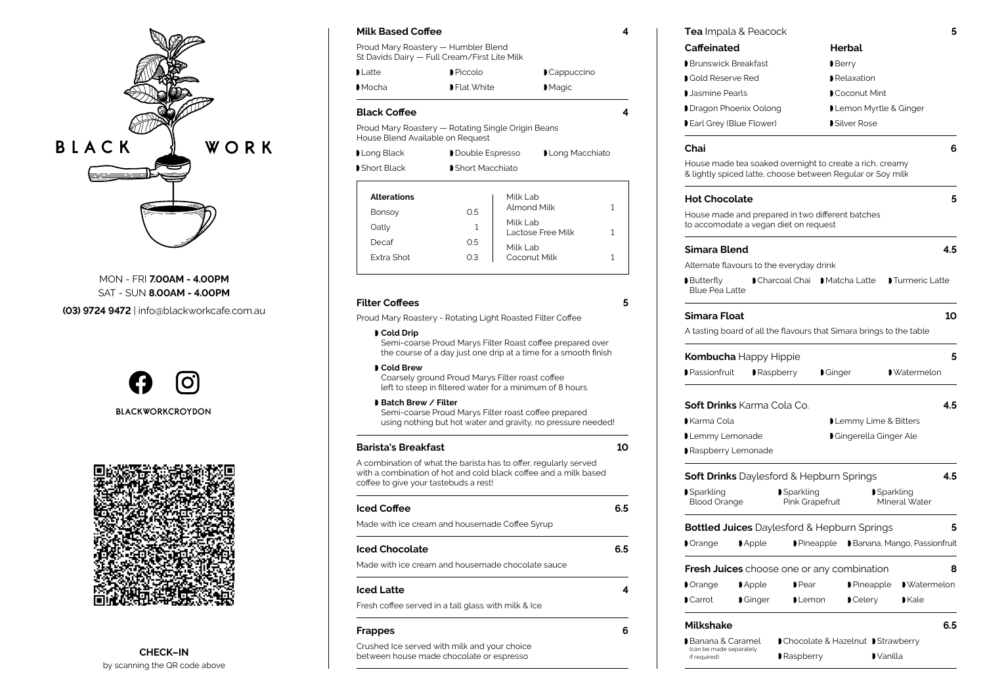

MON - FRI **7.00AM - 4.00PM** SAT - SUN **8.00AM - 4.00PM**

**(03) 9724 9472** | info@blackworkcafe.com.au

**CHECK–IN** by scanning the QR code above





| <b>Alterations</b> |     | Milk Lab                      |  |
|--------------------|-----|-------------------------------|--|
| <b>Bonsoy</b>      | 0.5 | Almond Milk                   |  |
| Oatly              |     | Milk Lab<br>Lactose Free Milk |  |
| Decaf              | O.5 | Milk Lab                      |  |
| Extra Shot         | O.3 | Coconut Milk                  |  |

#### **Milk Based Coffee 4**

Proud Mary Roastery — Humbler Blend St Davids Dairy — Full Cream/First Lite Milk

| D Latte ∶ | $\blacktriangleright$ Piccolo | $\blacksquare$ Cappuccino |
|-----------|-------------------------------|---------------------------|
| Mod       | ■ Flat White                  | $M$ agic                  |

#### **Black Coffee 4**

Proud Mary Roastery — Rotating Single Origin Beans House Blend Available on Request

| Long Black  | Double Espresso | Long Macchiato |
|-------------|-----------------|----------------|
| Short Black | Short Macchiato |                |

| <b>Tea</b> Impala & Peacock |  |
|-----------------------------|--|
|-----------------------------|--|

Raspberry

#### **Filter Coffees 5**

# **Soft Drinks** Daylesford & Hepburn Springs **4.5 Simara Float 10 Kombucha** Happy Hippie **5 Bottled Juices** Daylesford & Hepburn Springs **5 Fresh Juices** choose one or any combination **8 Caffeinated Chai 6 Hot Chocolate 5** House made and prepared in two different batches **Milkshake 6.5**

# **Sparkling Simara Blend 4.5** Alternate flavours to the everyday drink **Butterfly** A tasting board of all the flavours that Simara brings to the table **Passionfruit Paspberry Ginger** Watermelon ■ Orange Apple Pineapple Banana, Mango, Passionfruit **Dear** Pear Pear Pineapple Watermelon Carrot Ginger Lemon Celery Kale Brunswick Breakfast Gold Reserve Red Jasmine Pearls Dragon Phoenix Oolong Earl Grey (Blue Flower) House made tea soaked overnight to create a rich, creamy & lightly spiced latte, choose between Regular or Soy milk to accomodate a vegan diet on request **Soft Drinks** Karma Cola Co. **4.5** Karma Cola Lemmy Lemonade Raspberry Lemonade Banana & Caramel

- 
- 

- 
- 

Proud Mary Roastery - Rotating Light Roasted Filter Coffee

#### **Cold Drip**

# Blood Orange **Sparkling** Pink Grapefruit **■** Sparkling MIneral Water Blue Pea Latte ■ Charcoal Chai ■ Matcha Latte ■ Turmeric Latte **Herbal** Berry Relaxation Coconut Mint Lemon Myrtle & Ginger ■ Silver Rose Lemmy Lime & Bitters Gingerella Ginger Ale (can be made separately Chocolate & Hazelnut Strawberry

- 
- 
- 
- 
- 

Semi-coarse Proud Marys Filter Roast coffee prepared over the course of a day just one drip at a time for a smooth finish

#### **Cold Brew**

Coarsely ground Proud Marys Filter roast coffee left to steep in filtered water for a minimum of 8 hours

#### **Batch Brew / Filter**

Semi-coarse Proud Marys Filter roast coffee prepared using nothing but hot water and gravity, no pressure needed!

#### **Barista's Breakfast 10**

A combination of what the barista has to offer, regularly served with a combination of hot and cold black coffee and a milk based coffee to give your tastebuds a rest!

| <b>Iced Coffee</b>                                  | 6.5 |
|-----------------------------------------------------|-----|
| Made with ice cream and housemade Coffee Syrup      |     |
| <b>Iced Chocolate</b>                               | 6.5 |
| Made with ice cream and housemade chocolate sauce   |     |
| <b>Iced Latte</b>                                   |     |
| Fresh coffee served in a tall glass with milk & Ice |     |
| <b>Frappes</b>                                      |     |

Crushed Ice served with milk and your choice between house made chocolate or espresso

if required)

Vanilla